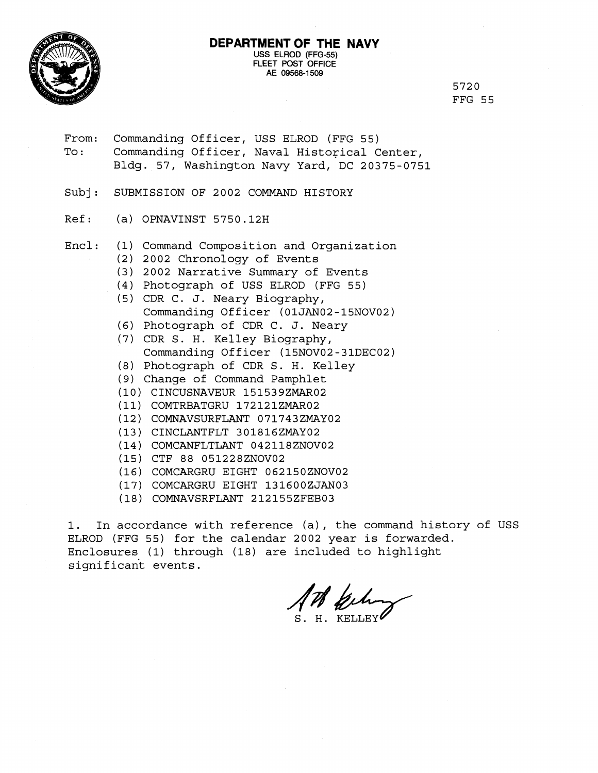

#### **DEPARTMENT OF THE NAVY USS** ELROD (FFG-55) FLEET POST OFFICE AE 09568-1509

5720 FFG 55

- From: Commanding Officer, USS ELROD (FFG 55) To: Commanding Officer, Naval Historical Center, Bldg. 57, Washington Navy Yard, DC 20375-0751
- Subj: SUBMISSION OF 2002 COMMAND HISTORY
- Ref: (a) OPNAVINST 5750.12H
- Encl: (1) Command Composition and Organization
	- (2) 2002 Chronology of Events
	- (3) 2002 Narrative Summary of Events
	- (4) Photograph of USS ELROD (FFG 55)
	- (5) CDR C. J. Neary Biography, Commanding Officer (01JAN02-15NOV02)
	- (6) Photograph of CDR C. J. Neary
	- (7) CDR S. H. Kelley Biography, Commanding Officer (15NOV02-31DEC02)
	- (8) Photograph of CDR S. H. Kelley
	- **(9)** Change of Command Pamphlet
	- (10) CINCUSNAVEUR 151539ZMAR02
	- (11) COMTRBATGRU 172121ZMAR02
	- (12) COMNAVSURFLANT 071743ZMAY02
	- (13) CINCLANTFLT 301816ZMAY02
	- (14) COMCANFLTLANT 042118ZNOV02
	- (15) CTF 88 051228ZNOV02
	- (16) COMCARGRU EIGHT 062150ZNOV02
	- (17) COMCARGRU EIGHT 131600ZJAN03
	- (18) COMNAVSRFLANT 212155ZFEB03

1. In accordance with reference (a), the command history of USS ELROD (FFG 55) for the calendar 2002 year is forwarded. Enclosures (1) through (18) are included to highlight significant events.

S. H. KELLEY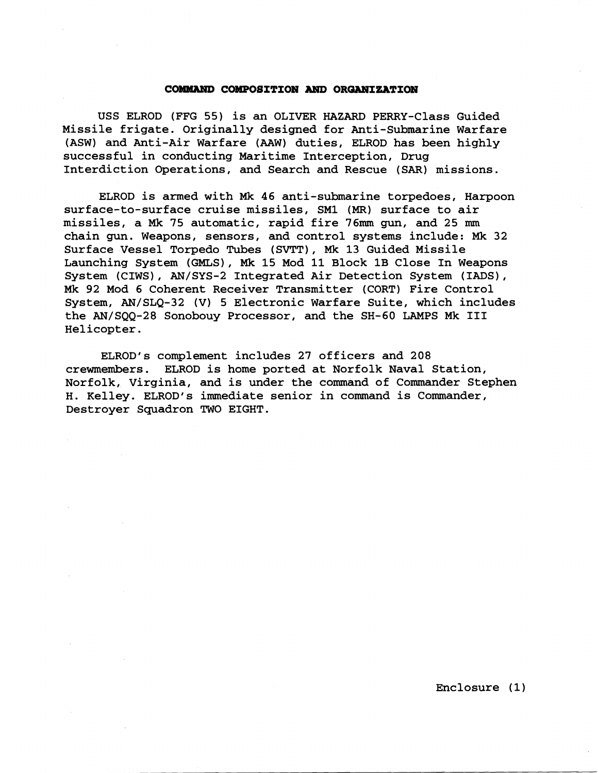# **COMMAND COMPOSITION AND ORGANIZATION**

USS ELROD (FFG 55) is an OLIVER HAZARD PERRY-Class Guided Missile frigate. Originally designed for Anti-Submarine Warfare (ASW) and Anti-Air Warfare (AAW) duties, ELROD has been highly successful in conducting Maritime Interception, Drug Interdiction Operations, and Search and Rescue (SAR) missions.

ELROD is armed with Mk 46 anti-submarine torpedoes, Harpoon surface-to-surface cruise missiles, SM1 **(MR)** surface to air missiles, a Mk **75** automatic, rapid fire **76mm** gun, and 25 mm chain gun. Weapons, sensors, and control systems include: Mk 32 Surface Vessel Torpedo Tubes (SVTT), **Mk** 13 Guided Missile Launching System (GMLS), Mk 15 Mod 11 Block 1B Close In Weapons System (CIWS), AN/SYS-2 Integrated Air Detection System (IADS), **Mk** 92 Mod **6** Coherent Receiver Transmitter (CORT) Fire Control System, AN/SLQ-32 (V) 5 Electronic Warfare Suite, which includes the AN/SQQ-28 Sonobouy Processor, and the SH-60 LAMPS Mk I11 Helicopter.

ELROD's complement includes 27 officers and 208 crewmembers. ELROD is home ported at Norfolk Naval Station, Norfolk, Virginia, and is under the command of Commander Stephen H. Kelley. ELROD's immediate senior in command is Commander, Destroyer Squadron TWO EIGHT.

Enclosure (1)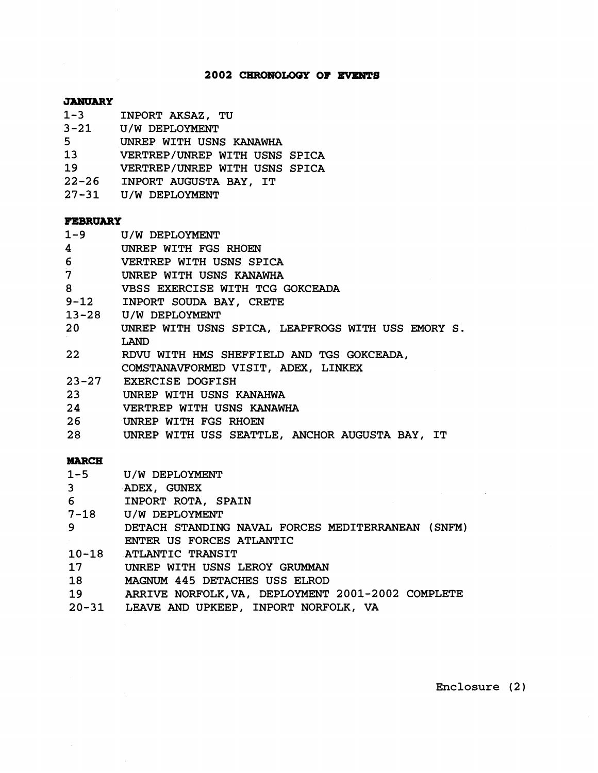### 2002 CHRONOLOGY OF EVENTS

#### **JANUARY**

- **1-3** INPORT AKSAZ, TU
- **3-21** U/W DEPLOYMENT
- **5** UNREP WITH USNS KANAWHA
- **13** VERTREP/UNREP WITH USNS SPICA
- **19** VERTREP/UNREP WITH USNS SPICA
- **22-26** INPORT AUGUSTA BAY, IT
- **27-31** U/W DEPLOYMENT

# **FEBRUARY**

- 
- **1-9** U/W DEPLOYMENT **4** UNREP WITH FGS RHOEN
- **6** VERTREP WITH USNS SPICA
- **7** UNREP WITH USNS KANAWHA
- **8** VBSS EXERCISE WITH TCG GOKCEADA
- **9-12** INPORT SOUDA BAY, CRETE
- **13-28** U/W DEPLOYMENT
- **20** UNREP WITH USNS SPICA, LEAPFROGS WITH USS EMORY S **LAND**
- **22** RDW WITH HMS SHEFFIELD AND TGS GOKCEADA,
- COMSTANAVFORMED VISIT, ADEX, LINKEX
- **23-27** EXERCISE DOGFISH
- **23** UNREP WITH USNS KANAHWA
- **24** VERTREP WITH USNS KANAWHA
- **26** UNREP WITH FGS RHOEN
- **28** UNREP WITH USS SEATTLE, ANCHOR AUGUSTA BAY, IT

# **MARCH**

- $1 5$ U/W DEPLOYMENT
- $3<sup>7</sup>$ ADEX, GUNEX
- INPORT ROTA, SPAIN 6
- $7 18$ U/W DEPLOYMENT
- DETACH STANDING NAVAL FORCES MEDITERRANEAN (SNFM) 9 ENTER US FORCES ATLANTIC
- 10-18 ATLANTIC TRANSIT
- UNREP WITH USNS LEROY GRUMMAN  $17<sub>2</sub>$
- MAGNUM **445** DETACHES USS ELROD 18
- ARRIVE NORFOLK,VA, DEPLOYMENT **2001-2002** COMPLETE 19
- LEAVE **AND** UPKEEP, INPORT NORFOLK, VA

Enclosure (2)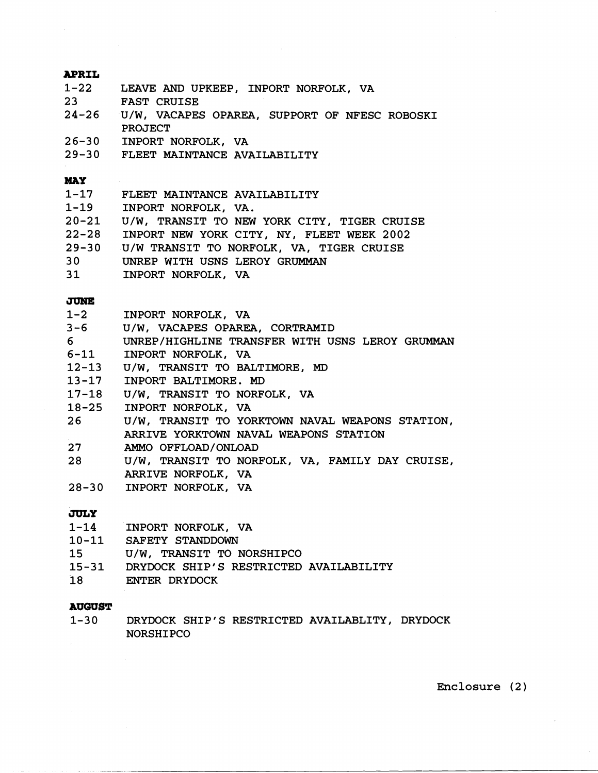### **APRIL**

- **1-22**  LEAVE AND UPKEEP, INPORT NORFOLK, VA
- **23**  FAST CRUISE
- **24-26**  U/W, VACAPES OPAREA, SUPPORT OF NFESC ROBOSKI PROJECT
- $26 30$ INPORT NORFOLK, VA
- FLEET MAINTANCE AVAILABILITY  $29 - 30$

#### **MAY**

- **1-17 1-19 20-21 22-28 29-30 30**  FLEET MAINTANCE AVAILABILITY INPORT NORFOLK, VA. U/W, TRANSIT TO NEW YORK CITY, TIGER CRUISE INPORT NEW YORK CITY, **NY,** FLEET WEEK **2002**  U/W TRANSIT TO NORFOLK, VA, TIGER CRUISE UNREP WITH USNS LEROY GRUMMAN
- **31**  INPORT NORFOLK, VA

# **JUNE**

- $1-2$ INPORT NORFOLK, VA
- U/W, VACAPES OPAREA, CORTRAMID  $3 - 6$
- 6 UNREP/HIGHLINE TRANSFER WITH USNS LEROY GRUMMAN
- $6 11$ INPORT NORFOLK, VA
- U/W, TRANSIT TO BALTIMORE, **MD**
- 13-17 INPORT BALTIMORE. MD
- 17-18 U/W, TRANSIT TO NORFOLK, VA
- $18 25$ INPORT NORFOLK, VA
- $26$ U/W, TRANSIT TO YORKTOWN NAVAL WEAPONS STATION, ARRIVE YORKTOWN NAVAL WEAPONS STATION
- $27$ AMMO OFFLOAD/ONLOAD
- 28 U/W, TRANSIT TO NORFOLK, VA, FAMILY DAY CRUISE, ARRIVE NORFOLK, VA
- 28-30 INPORT NORFOLK, VA

### JULY

- $1 14$ INPORT NORFOLK, VA
- $10 11$ SAFETY STANDDOWN
- U/W, TRANSIT TO NORSHIPCO
- $15 31$ DRYDOCK SHIP'S RESTRICTED AVAILABILITY
- $18$ ENTER DRYDOCK

# **AUWST**

**1-30**  DRYDOCK SHIP'S RESTRICTED AVAILABLITY, DRYDOCK NORSHI PC0

Enclosure **(2)**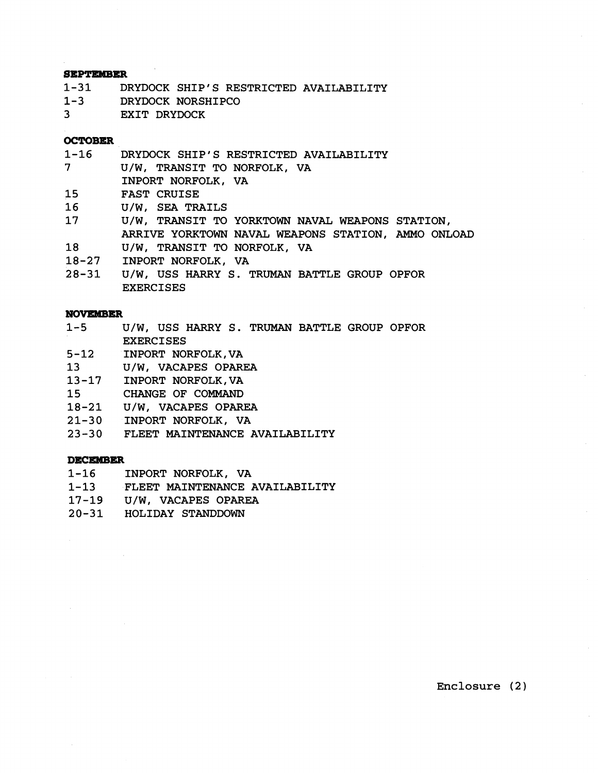#### **SEPTEMBER**

| 1–31    | DRYDOCK SHIP'S RESTRICTED AVAILABILITY |
|---------|----------------------------------------|
| $1 - 3$ | DRYDOCK NORSHIPCO                      |
| 3       | EXIT DRYDOCK                           |

# **OCTOBER**

| 1-16            | DRYDOCK SHIP'S RESTRICTED AVAILABILITY             |
|-----------------|----------------------------------------------------|
| 7 <sup>7</sup>  | U/W, TRANSIT TO NORFOLK, VA                        |
|                 | INPORT NORFOLK, VA                                 |
| 15              | <b>FAST CRUISE</b>                                 |
| 16              | U/W, SEA TRAILS                                    |
| 17 <sub>1</sub> | U/W, TRANSIT TO YORKTOWN NAVAL WEAPONS STATION,    |
|                 | ARRIVE YORKTOWN NAVAL WEAPONS STATION, AMMO ONLOAD |
| 18              | U/W, TRANSIT TO NORFOLK, VA                        |
|                 |                                                    |

- **18-27** INPORT NORFOLK, VA
- **28-31** U/W, USS HARRY S. TRUMAN BATTLE GROUP OPFOR EXERCISES

#### **NOVEWBER**

- **1-5** U/W, USS HARRY S. TRUMAN BATTLE GROUP OPFOR EXERCISES
- **5-12** INPORT NORFOLK,VA
- **13** U/W, VACAPES OPAREA
- **13-17** INPORT NORFOLK,VA
- **15** CHANGE OF COMMAND
- **18-21** U/W, VACAPES OPAREA
- **21-30** INPORT NORFOLK, VA
- **23-30** FLEET MAINTENANCE AVAILABILITY

## **DECEMBER**

- **1-16** INPORT NORFOLK, VA
- **1-13** FLEET MAINTENANCE AVAILABILITY
- **17-19** U/W, VACAPES OPAREA
- **20-31** HOLIDAY STANDDOWN

Enclosure **(2)**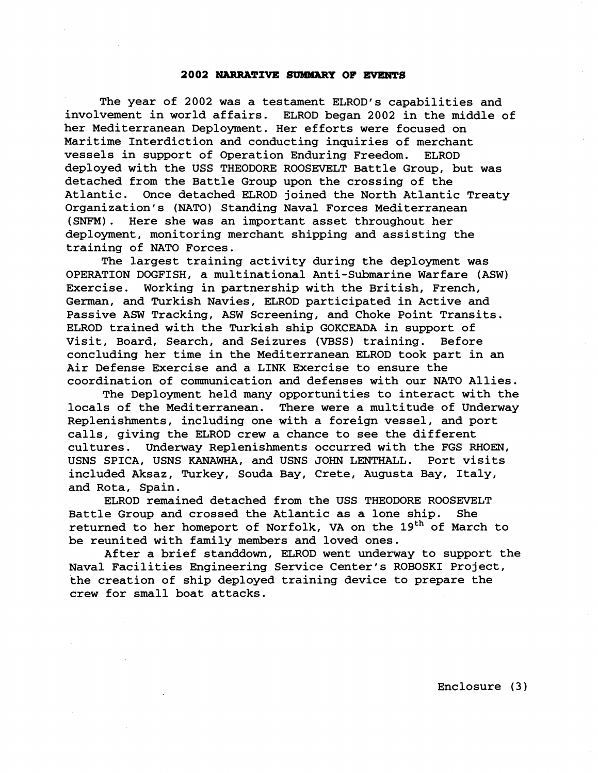#### **2002 NARRATIVE mY OF EVENTS**

The year of 2002 was a testament ELROD's capabilities and involvement in world affairs. ELROD began 2002 in the middle of her Mediterranean Deployment. Her efforts were focused on Maritime Interdiction and conducting inquiries of merchant vessels in support of Operation Enduring Freedom. ELROD deployed with the USS THEODORE ROOSEVELT Battle Group, but was detached from the Battle Group upon the crossing of the Atlantic. Once detached ELROD joined the North Atlantic Treaty Organization's (NATO) Standing Naval Forces Mediterranean (SNFM). Here she was an important asset throughout her deployment, monitoring merchant shipping and assisting the training of NATO Forces.

The largest training activity during the deployment was OPERATION DOGFISH, a multinational Anti-Submarine Warfare (ASW) Exercise. Working in partnership with the British, French, German, and Turkish Navies, ELROD participated in Active and Passive ASW Tracking, ASW Screening, and Choke Point Transits. ELROD trained with the Turkish ship GOKCEADA in support of Visit, Board, Search, and Seizures (VBSS) training. Before concluding her time in the Mediterranean ELROD took part in an Air Defense Exercise and a LINK Exercise to ensure the coordination of communication and defenses with our NATO Allies.

The Deployment held many opportunities to interact with the locals of the Mediterranean. There were a multitude of Underway Replenishments, including one with a foreign vessel, and port calls, giving the ELROD crew a chance to see the different cultures. Underway Replenishments occurred with the FGS **RHOEN,**  USNS SPICA, USNS KANAWHA, and USNS JOHN LENTHALL. Port visits included Aksaz, Turkey, Souda Bay, Crete, Augusta Bay, Italy, and Rota, Spain.

ELROD remained detached from the USS THEODORE ROOSEVELT Battle Group and crossed the Atlantic as a lone ship. She returned to her homeport of Norfolk, VA on the 19<sup>th</sup> of March to be reunited with family members and loved ones.

After a brief standdown, ELROD went underway to support the Naval Facilities Engineering Service Center's ROBOSKI Project, the creation of ship deployed training device to prepare the crew for small boat attacks.

Enclosure **(3** )